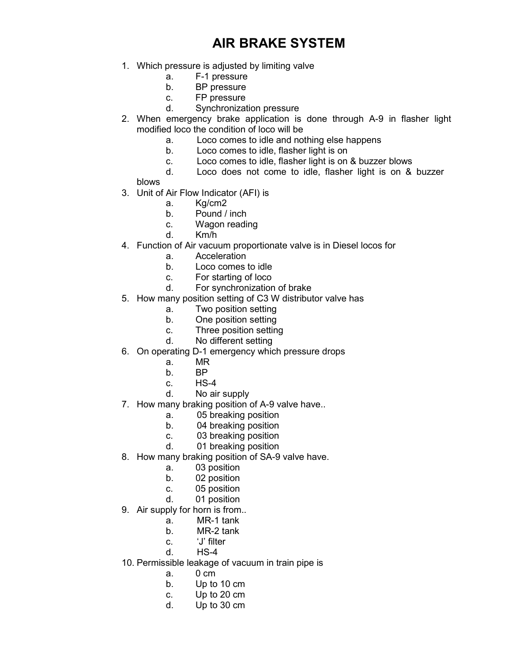## AIR BRAKE SYSTEM

- 1. Which pressure is adjusted by limiting valve
	- a. F-1 pressure
	- b. BP pressure
	- c. FP pressure
	- d. Synchronization pressure
- 2. When emergency brake application is done through A-9 in flasher light modified loco the condition of loco will be
	- a. Loco comes to idle and nothing else happens
	- b. Loco comes to idle, flasher light is on
	- c. Loco comes to idle, flasher light is on & buzzer blows
	- d. Loco does not come to idle, flasher light is on & buzzer

blows

- 3. Unit of Air Flow Indicator (AFI) is
	- a. Kg/cm2
	- b. Pound / inch
	- c. Wagon reading
	- d. Km/h
- 4. Function of Air vacuum proportionate valve is in Diesel locos for
	- a. Acceleration
	- b. Loco comes to idle
	- c. For starting of loco
	- d. For synchronization of brake
- 5. How many position setting of C3 W distributor valve has
	- a. Two position setting
	- b. One position setting
	- c. Three position setting
	- d. No different setting
- 6. On operating D-1 emergency which pressure drops
	- a. MR
	- b. BP
	- c. HS-4
	- d. No air supply
- 7. How many braking position of A-9 valve have..
	- a. 05 breaking position
	- b. 04 breaking position
	- c. 03 breaking position
	- d. 01 breaking position
- 8. How many braking position of SA-9 valve have.
	- a. 03 position
	- b. 02 position
	- c. 05 position
	- d. 01 position
- 9. Air supply for horn is from..
	- a. MR-1 tank
	- b. MR-2 tank
	- c. 'J' filter
	- d. HS-4
- 10. Permissible leakage of vacuum in train pipe is
	- a. 0 cm
	- b. Up to 10 cm
	- c. Up to 20 cm
	- d. Up to 30 cm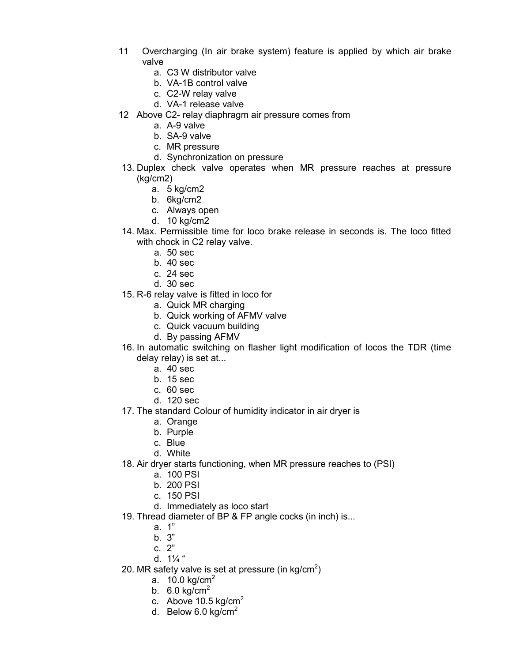- 11 Overcharging (In air brake system) feature is applied by which air brake valve
	- a. C3 W distributor valve
	- b. VA-1B control valve
	- c. C2-W relay valve
	- d. VA-1 release valve
- 12 Above C2- relay diaphragm air pressure comes from
	- a. A-9 valve
	- b. SA-9 valve
	- c. MR pressure
	- d. Synchronization on pressure
- 13. Duplex check valve operates when MR pressure reaches at pressure (kg/cm2)
	- a. 5 kg/cm2
	- b. 6kg/cm2
	- c. Always open
	- d. 10 kg/cm2
- 14. Max. Permissible time for loco brake release in seconds is. The loco fitted with chock in C2 relay valve.
	- a. 50 sec
	- b. 40 sec
	- c. 24 sec
	- d. 30 sec
- 15. R-6 relay valve is fitted in loco for
	- a. Quick MR charging
	- b. Quick working of AFMV valve
	- c. Quick vacuum building
	- d. By passing AFMV
- 16. In automatic switching on flasher light modification of locos the TDR (time delay relay) is set at...
	- a. 40 sec
	- b. 15 sec
	- c. 60 sec
	- d. 120 sec
- 17. The standard Colour of humidity indicator in air dryer is
	- a. Orange
	- b. Purple
	- c. Blue
	- d. White
- 18. Air dryer starts functioning, when MR pressure reaches to (PSI)
	- a. 100 PSI
	- b. 200 PSI
	- c. 150 PSI
	- d. Immediately as loco start
- 19. Thread diameter of BP & FP angle cocks (in inch) is...
	- a. 1"
	- b. 3"
	- c. 2"
	- d.  $1\frac{1}{4}$ "
- 20. MR safety valve is set at pressure (in kg/cm<sup>2</sup>)
	- a.  $10.0$  kg/cm $^2$
	- b.  $6.0 \text{ kg/cm}^2$
	- c. Above 10.5 kg/cm<sup>2</sup>
	- d. Below 6.0 kg/cm<sup>2</sup>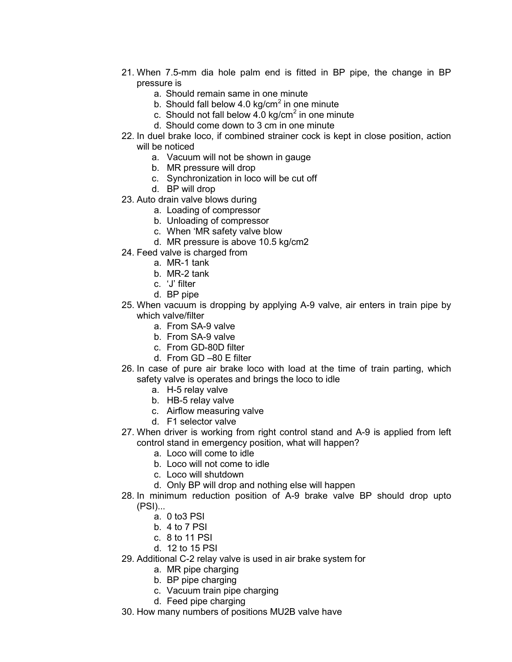- 21. When 7.5-mm dia hole palm end is fitted in BP pipe, the change in BP pressure is
	- a. Should remain same in one minute
	- b. Should fall below 4.0 kg/cm $^2$  in one minute
	- c. Should not fall below 4.0 kg/cm $^2$  in one minute
	- d. Should come down to 3 cm in one minute
- 22. In duel brake loco, if combined strainer cock is kept in close position, action will be noticed
	- a. Vacuum will not be shown in gauge
	- b. MR pressure will drop
	- c. Synchronization in loco will be cut off
	- d. BP will drop
- 23. Auto drain valve blows during
	- a. Loading of compressor
	- b. Unloading of compressor
	- c. When 'MR safety valve blow
	- d. MR pressure is above 10.5 kg/cm2
- 24. Feed valve is charged from
	- a. MR-1 tank
	- b. MR-2 tank
	- c. 'J' filter
	- d. BP pipe
- 25. When vacuum is dropping by applying A-9 valve, air enters in train pipe by which valve/filter
	- a. From SA-9 valve
	- b. From SA-9 valve
	- c. From GD-80D filter
	- d. From GD –80 E filter
- 26. In case of pure air brake loco with load at the time of train parting, which safety valve is operates and brings the loco to idle
	- a. H-5 relay valve
	- b. HB-5 relay valve
	- c. Airflow measuring valve
	- d. F1 selector valve
- 27. When driver is working from right control stand and A-9 is applied from left control stand in emergency position, what will happen?
	- a. Loco will come to idle
	- b. Loco will not come to idle
	- c. Loco will shutdown
	- d. Only BP will drop and nothing else will happen
- 28. In minimum reduction position of A-9 brake valve BP should drop upto (PSI)...
	- a. 0 to3 PSI
	- b. 4 to 7 PSI
	- c. 8 to 11 PSI
	- d. 12 to 15 PSI
- 29. Additional C-2 relay valve is used in air brake system for
	- a. MR pipe charging
	- b. BP pipe charging
	- c. Vacuum train pipe charging
	- d. Feed pipe charging
- 30. How many numbers of positions MU2B valve have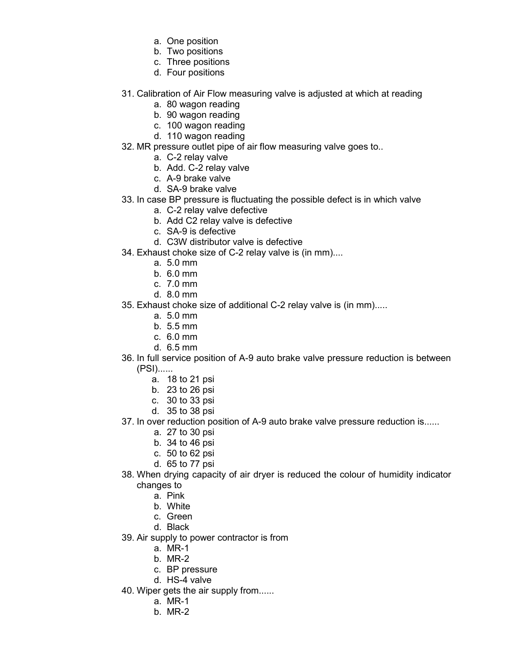- a. One position
- b. Two positions
- c. Three positions
- d. Four positions
- 31. Calibration of Air Flow measuring valve is adjusted at which at reading
	- a. 80 wagon reading
	- b. 90 wagon reading
	- c. 100 wagon reading
	- d. 110 wagon reading
- 32. MR pressure outlet pipe of air flow measuring valve goes to..
	- a. C-2 relay valve
	- b. Add. C-2 relay valve
	- c. A-9 brake valve
	- d. SA-9 brake valve
- 33. In case BP pressure is fluctuating the possible defect is in which valve
	- a. C-2 relay valve defective
	- b. Add C2 relay valve is defective
	- c. SA-9 is defective
	- d. C3W distributor valve is defective
- 34. Exhaust choke size of C-2 relay valve is (in mm)....
	- a. 5.0 mm
	- b. 6.0 mm
	- c. 7.0 mm
	- d. 8.0 mm
- 35. Exhaust choke size of additional C-2 relay valve is (in mm).....
	- a. 5.0 mm
	- b. 5.5 mm
	- c. 6.0 mm
	- d. 6.5 mm
- 36. In full service position of A-9 auto brake valve pressure reduction is between (PSI)......
	- a. 18 to 21 psi
	- b. 23 to 26 psi
	- c. 30 to 33 psi
	- d. 35 to 38 psi
- 37. In over reduction position of A-9 auto brake valve pressure reduction is......
	- a. 27 to 30 psi
	- b. 34 to 46 psi
	- c. 50 to 62 psi
	- d. 65 to 77 psi
- 38. When drying capacity of air dryer is reduced the colour of humidity indicator changes to
	- a. Pink
	- b. White
	- c. Green
	- d. Black
- 39. Air supply to power contractor is from
	- a. MR-1
	- b. MR-2
	- c. BP pressure
	- d. HS-4 valve
- 40. Wiper gets the air supply from......
	- a. MR-1
	- b. MR-2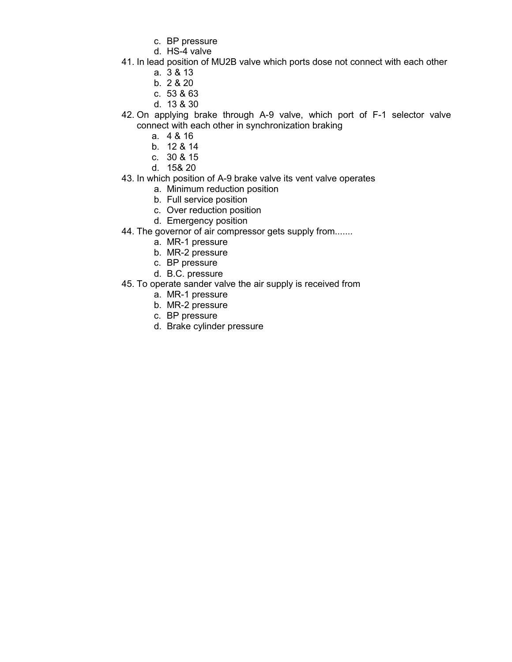- c. BP pressure
- d. HS-4 valve
- 41. In lead position of MU2B valve which ports dose not connect with each other
	- a. 3 & 13
	- b. 2 & 20
	- c. 53 & 63
	- d. 13 & 30
- 42. On applying brake through A-9 valve, which port of F-1 selector valve connect with each other in synchronization braking
	- a. 4 & 16
	- b. 12 & 14
	- c. 30 & 15
	- d. 15& 20
- 43. In which position of A-9 brake valve its vent valve operates
	- a. Minimum reduction position
	- b. Full service position
	- c. Over reduction position
	- d. Emergency position
- 44. The governor of air compressor gets supply from.......
	- a. MR-1 pressure
	- b. MR-2 pressure
	- c. BP pressure
	- d. B.C. pressure
- 45. To operate sander valve the air supply is received from
	- a. MR-1 pressure
	- b. MR-2 pressure
	- c. BP pressure
	- d. Brake cylinder pressure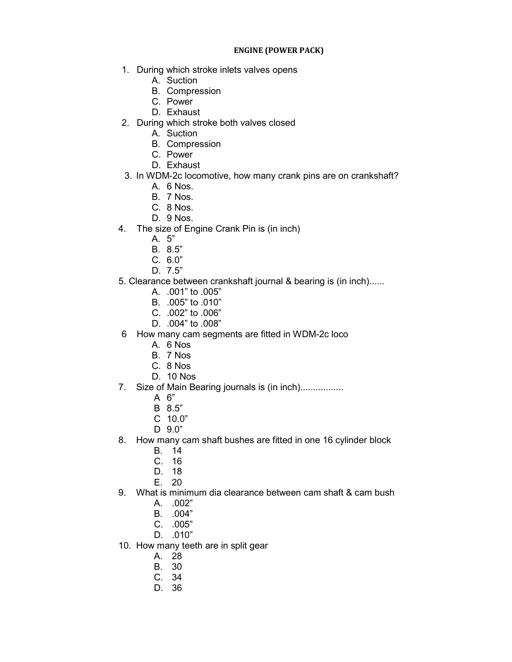## ENGINE (POWER PACK)

- 1. During which stroke inlets valves opens
	- A. Suction
	- B. Compression
	- C. Power
	- D. Exhaust
- 2. During which stroke both valves closed
	- A. Suction
	- B. Compression
	- C. Power
	- D. Exhaust
- 3. In WDM-2c locomotive, how many crank pins are on crankshaft?
	- A. 6 Nos.
	- B. 7 Nos.
	- C. 8 Nos.
	- D. 9 Nos.
- 4. The size of Engine Crank Pin is (in inch)
	- A. 5"
	- B. 8.5"
	- C. 6.0"
	- D. 7.5"
- 5. Clearance between crankshaft journal & bearing is (in inch)......
	- A. .001" to .005"
	- B. .005" to .010"
	- C. .002" to .006"
	- D. .004" to .008"
- 6 How many cam segments are fitted in WDM-2c loco
	- A. 6 Nos
	- B. 7 Nos
	- C. 8 Nos
	- D. 10 Nos
- 7. Size of Main Bearing journals is (in inch).................
	- A 6"
	- B 8.5"
	- C 10.0"
	- D 9.0"
- 8. How many cam shaft bushes are fitted in one 16 cylinder block
	- B. 14
	- C. 16
	- D. 18
	- E. 20
- 9. What is minimum dia clearance between cam shaft & cam bush
	- A. .002"
	- B. .004"
	- C. .005"
	- D. .010"
- 10. How many teeth are in split gear
	- A. 28
	- B. 30
	- C. 34
	- D. 36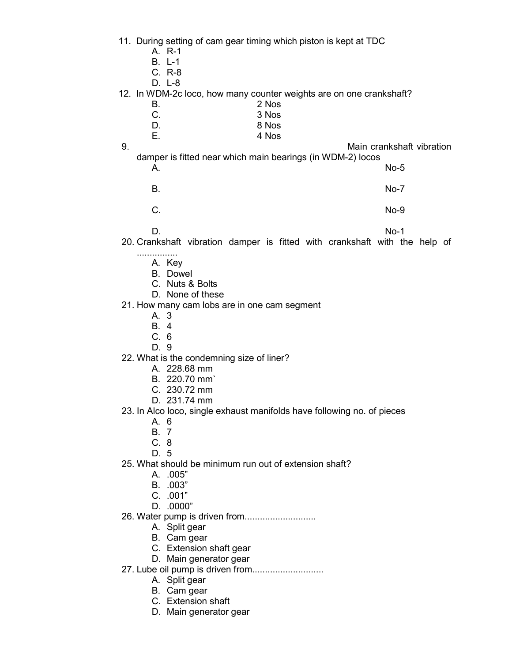- 11. During setting of cam gear timing which piston is kept at TDC
	- A. R-1
	- B. L-1
	- C. R-8
	- D. L-8
- 12. In WDM-2c loco, how many counter weights are on one crankshaft?
	- B. 2 Nos C. 3 Nos D. 8 Nos
		- E. 4 Nos

9. Main crankshaft vibration

- damper is fitted near which main bearings (in WDM-2) locos A. No-5
	- B. No-7
	- C. No-9

D. No-1

- 20. Crankshaft vibration damper is fitted with crankshaft with the help of
	- ................ A. Key
		- B. Dowel
		- C. Nuts & Bolts
		- D. None of these
- 21. How many cam lobs are in one cam segment
	- A. 3
	- B. 4
	- C. 6
	- D. 9

22. What is the condemning size of liner?

- A. 228.68 mm
- B. 220.70 mm`
- C. 230.72 mm
- D. 231.74 mm
- 23. In Alco loco, single exhaust manifolds have following no. of pieces
	- A. 6
	- B. 7
	- C. 8
	- D. 5
- 25. What should be minimum run out of extension shaft?
	- A. .005"
	- B. .003"
	- C. .001"
	- D. .0000"
- 26. Water pump is driven from............................
	- A. Split gear
	- B. Cam gear
	- C. Extension shaft gear
	- D. Main generator gear
- 27. Lube oil pump is driven from............................
	- A. Split gear
	- B. Cam gear
	- C. Extension shaft
	- D. Main generator gear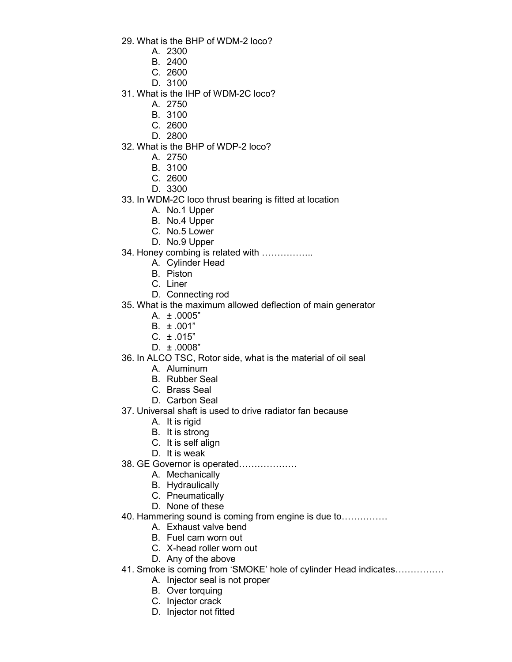29. What is the BHP of WDM-2 loco?

- A. 2300
- B. 2400
- C. 2600
- D. 3100
- 31. What is the IHP of WDM-2C loco?
	- A. 2750
	- B. 3100
	- C. 2600
	- D. 2800
- 32. What is the BHP of WDP-2 loco?
	- A. 2750
	- B. 3100
	- C. 2600
	- D. 3300
- 33. In WDM-2C loco thrust bearing is fitted at location
	- A. No.1 Upper
	- B. No.4 Upper
	- C. No.5 Lower
	- D. No.9 Upper
- 34. Honey combing is related with ……………..
	- A. Cylinder Head
	- B. Piston
	- C. Liner
	- D. Connecting rod
- 35. What is the maximum allowed deflection of main generator
	- A.  $\pm .0005"$
	- B. ± .001"
	- $C. \pm .015$ "
	- D. ± .0008"
- 36. In ALCO TSC, Rotor side, what is the material of oil seal
	- A. Aluminum
	- B. Rubber Seal
	- C. Brass Seal
	- D. Carbon Seal
- 37. Universal shaft is used to drive radiator fan because
	- A. It is rigid
	- B. It is strong
	- C. It is self align
	- D. It is weak
- 38. GE Governor is operated……………….
	- A. Mechanically
	- B. Hydraulically
	- C. Pneumatically
	- D. None of these
- 40. Hammering sound is coming from engine is due to……………
	- A. Exhaust valve bend
	- B. Fuel cam worn out
	- C. X-head roller worn out
	- D. Any of the above
- 41. Smoke is coming from 'SMOKE' hole of cylinder Head indicates…………….
	- A. Injector seal is not proper
	- B. Over torquing
	- C. Injector crack
	- D. Injector not fitted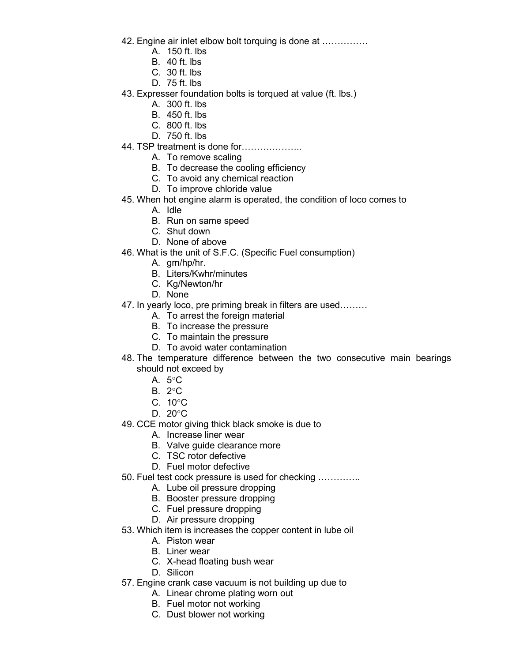- 42. Engine air inlet elbow bolt torquing is done at ……………
	- A. 150 ft. lbs
	- B. 40 ft. lbs
	- C. 30 ft. lbs
	- D. 75 ft. lbs
- 43. Expresser foundation bolts is torqued at value (ft. lbs.)
	- A. 300 ft. lbs
	- B. 450 ft. lbs
	- C. 800 ft. lbs
	- D. 750 ft. lbs
- 44. TSP treatment is done for………………..
	- A. To remove scaling
	- B. To decrease the cooling efficiency
	- C. To avoid any chemical reaction
	- D. To improve chloride value
- 45. When hot engine alarm is operated, the condition of loco comes to
	- A. Idle
	- B. Run on same speed
	- C. Shut down
	- D. None of above
- 46. What is the unit of S.F.C. (Specific Fuel consumption)
	- A. gm/hp/hr.
	- B. Liters/Kwhr/minutes
	- C. Kg/Newton/hr
	- D. None
- 47. In yearly loco, pre priming break in filters are used………
	- A. To arrest the foreign material
	- B. To increase the pressure
	- C. To maintain the pressure
	- D. To avoid water contamination
- 48. The temperature difference between the two consecutive main bearings should not exceed by
	- A.  $5^{\circ}$ C
	- $B. 2^{\circ}C$
	- C.  $10^{\circ}$ C
	- D.  $20^{\circ}$ C
- 49. CCE motor giving thick black smoke is due to
	- A. Increase liner wear
	- B. Valve guide clearance more
	- C. TSC rotor defective
	- D. Fuel motor defective
- 50. Fuel test cock pressure is used for checking …………..
	- A. Lube oil pressure dropping
	- B. Booster pressure dropping
	- C. Fuel pressure dropping
	- D. Air pressure dropping
- 53. Which item is increases the copper content in lube oil
	- A. Piston wear
	- B. Liner wear
	- C. X-head floating bush wear
	- D. Silicon
- 57. Engine crank case vacuum is not building up due to
	- A. Linear chrome plating worn out
	- B. Fuel motor not working
	- C. Dust blower not working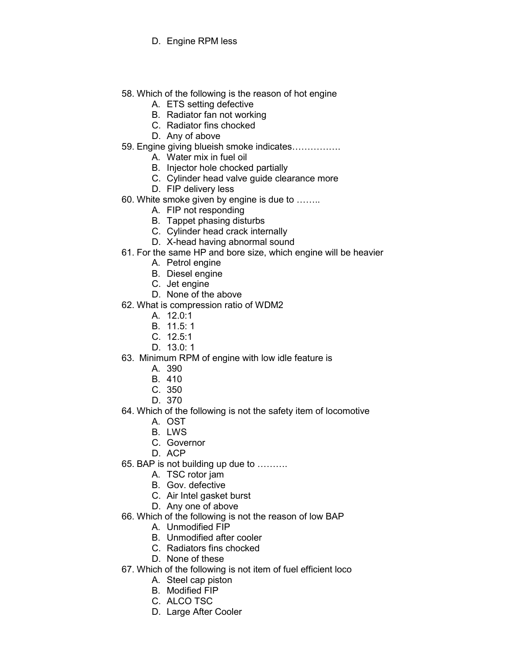- D. Engine RPM less
- 58. Which of the following is the reason of hot engine
	- A. ETS setting defective
	- B. Radiator fan not working
	- C. Radiator fins chocked
	- D. Any of above
- 59. Engine giving blueish smoke indicates…………….
	- A. Water mix in fuel oil
	- B. Injector hole chocked partially
	- C. Cylinder head valve guide clearance more
	- D. FIP delivery less
- 60. White smoke given by engine is due to ……..
	- A. FIP not responding
	- B. Tappet phasing disturbs
	- C. Cylinder head crack internally
	- D. X-head having abnormal sound
- 61. For the same HP and bore size, which engine will be heavier
	- A. Petrol engine
	- B. Diesel engine
	- C. Jet engine
	- D. None of the above
- 62. What is compression ratio of WDM2
	- A. 12.0:1
	- B. 11.5: 1
	- C. 12.5:1
	- D. 13.0: 1
- 63. Minimum RPM of engine with low idle feature is
	- A. 390
	- B. 410
	- C. 350
	- D. 370
- 64. Which of the following is not the safety item of locomotive
	- A. OST
	- B. LWS
	- C. Governor
	- D. ACP
- 65. BAP is not building up due to ……….
	- A. TSC rotor jam
	- B. Gov. defective
	- C. Air Intel gasket burst
	- D. Any one of above
- 66. Which of the following is not the reason of low BAP
	- A. Unmodified FIP
	- B. Unmodified after cooler
	- C. Radiators fins chocked
	- D. None of these
- 67. Which of the following is not item of fuel efficient loco
	- A. Steel cap piston
	- B. Modified FIP
	- C. ALCO TSC
	- D. Large After Cooler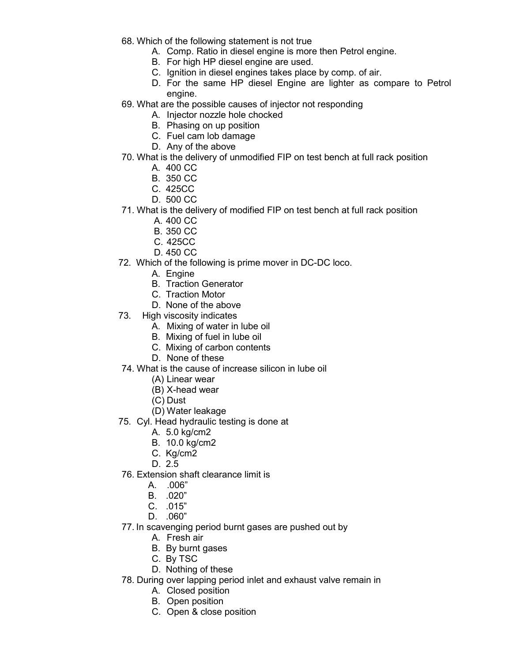68. Which of the following statement is not true

- A. Comp. Ratio in diesel engine is more then Petrol engine.
	- B. For high HP diesel engine are used.
	- C. Ignition in diesel engines takes place by comp. of air.
	- D. For the same HP diesel Engine are lighter as compare to Petrol engine.
- 69. What are the possible causes of injector not responding
	- A. Injector nozzle hole chocked
	- B. Phasing on up position
	- C. Fuel cam lob damage
	- D. Any of the above
- 70. What is the delivery of unmodified FIP on test bench at full rack position
	- A. 400 CC
	- B. 350 CC
	- C. 425CC
	- D. 500 CC
- 71. What is the delivery of modified FIP on test bench at full rack position
	- A. 400 CC
	- B. 350 CC
	- C. 425CC
	- D. 450 CC
- 72. Which of the following is prime mover in DC-DC loco.
	- A. Engine
	- B. Traction Generator
	- C. Traction Motor
	- D. None of the above
- 73. High viscosity indicates
	- A. Mixing of water in lube oil
	- B. Mixing of fuel in lube oil
	- C. Mixing of carbon contents
	- D. None of these
- 74. What is the cause of increase silicon in lube oil
	- (A) Linear wear
	- (B) X-head wear
	- (C) Dust
	- (D) Water leakage
- 75. Cyl. Head hydraulic testing is done at
	- A. 5.0 kg/cm2
	- B. 10.0 kg/cm2
	- C. Kg/cm2
	- D. 2.5
- 76. Extension shaft clearance limit is
	- A. .006"
	- B. .020"
	- C. .015"
	- D. .060"
- 77. In scavenging period burnt gases are pushed out by
	- A. Fresh air
	- B. By burnt gases
	- C. By TSC
	- D. Nothing of these
- 78. During over lapping period inlet and exhaust valve remain in
	- A. Closed position
	- B. Open position
	- C. Open & close position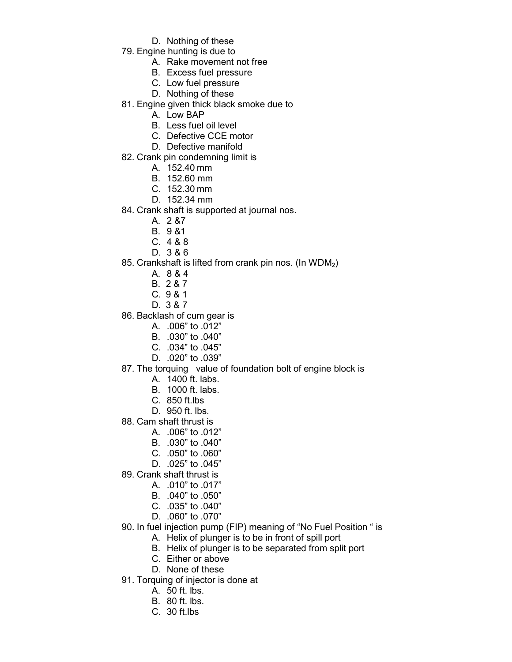- D. Nothing of these
- 79. Engine hunting is due to
	- A. Rake movement not free
	- B. Excess fuel pressure
	- C. Low fuel pressure
	- D. Nothing of these
- 81. Engine given thick black smoke due to
	- A. Low BAP
	- B. Less fuel oil level
	- C. Defective CCE motor
	- D. Defective manifold
- 82. Crank pin condemning limit is
	- A. 152.40 mm
	- B. 152.60 mm
	- C. 152.30 mm
	- D. 152.34 mm
- 84. Crank shaft is supported at journal nos.
	- A. 2 &7
	- B. 9 &1
	- C. 4 & 8
	- D. 3 & 6
- 85. Crankshaft is lifted from crank pin nos. (In WDM<sub>2</sub>)
	- A. 8 & 4
	- B. 2 & 7
	- C. 9 & 1
	- D. 3 & 7
- 86. Backlash of cum gear is
	- A. .006" to .012"
	- B. .030" to .040"
	- C. .034" to .045"
	- D. .020" to .039"
- 87. The torquing value of foundation bolt of engine block is
	- A. 1400 ft. labs.
	- B. 1000 ft. labs.
	- C. 850 ft.lbs
	- D. 950 ft. lbs.
- 88. Cam shaft thrust is
	- A. .006" to .012"
	- B. .030" to .040"
	- C. .050" to .060"
	- D. .025" to .045"
- 89. Crank shaft thrust is
	- A. .010" to .017"
	- B. .040" to .050"
	- C. .035" to .040"
	- D. .060" to .070"
- 90. In fuel injection pump (FIP) meaning of "No Fuel Position " is
	- A. Helix of plunger is to be in front of spill port
	- B. Helix of plunger is to be separated from split port
	- C. Either or above
	- D. None of these
- 91. Torquing of injector is done at
	- A. 50 ft. lbs.
	- B. 80 ft. lbs.
	- C. 30 ft.lbs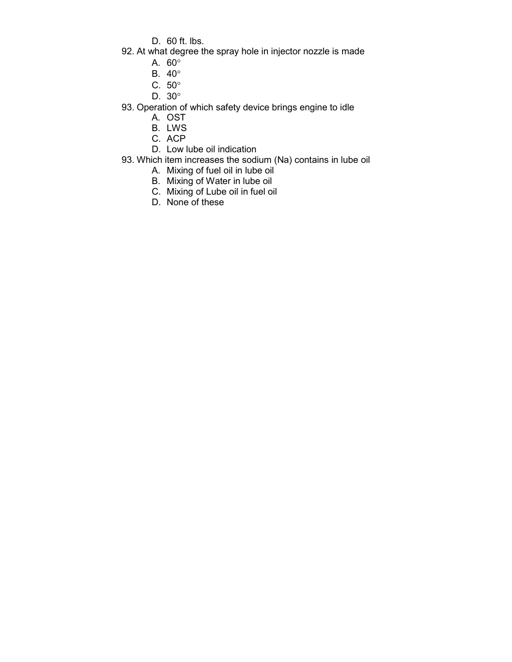D. 60 ft. lbs.

- 92. At what degree the spray hole in injector nozzle is made
	- A. 60
	- B. 40
	- C.  $50^\circ$
	- D. 30

93. Operation of which safety device brings engine to idle

- A. OST
	- B. LWS
	- C. ACP
	- D. Low lube oil indication
- 93. Which item increases the sodium (Na) contains in lube oil
	- A. Mixing of fuel oil in lube oil
	- B. Mixing of Water in lube oil
	- C. Mixing of Lube oil in fuel oil
	- D. None of these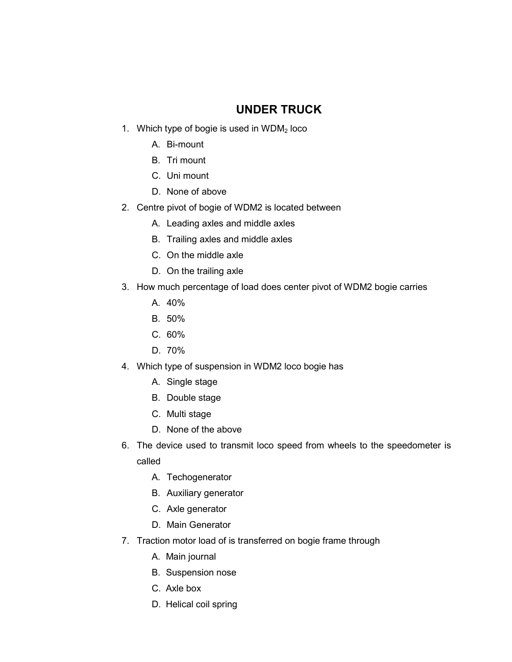## UNDER TRUCK

- 1. Which type of bogie is used in  $WDM<sub>2</sub>$  loco
	- A. Bi-mount
	- B. Tri mount
	- C. Uni mount
	- D. None of above
- 2. Centre pivot of bogie of WDM2 is located between
	- A. Leading axles and middle axles
	- B. Trailing axles and middle axles
	- C. On the middle axle
	- D. On the trailing axle
- 3. How much percentage of load does center pivot of WDM2 bogie carries
	- A. 40%
	- B. 50%
	- C. 60%
	- D. 70%
- 4. Which type of suspension in WDM2 loco bogie has
	- A. Single stage
	- B. Double stage
	- C. Multi stage
	- D. None of the above
- 6. The device used to transmit loco speed from wheels to the speedometer is called
	- A. Techogenerator
	- B. Auxiliary generator
	- C. Axle generator
	- D. Main Generator
- 7. Traction motor load of is transferred on bogie frame through
	- A. Main journal
	- B. Suspension nose
	- C. Axle box
	- D. Helical coil spring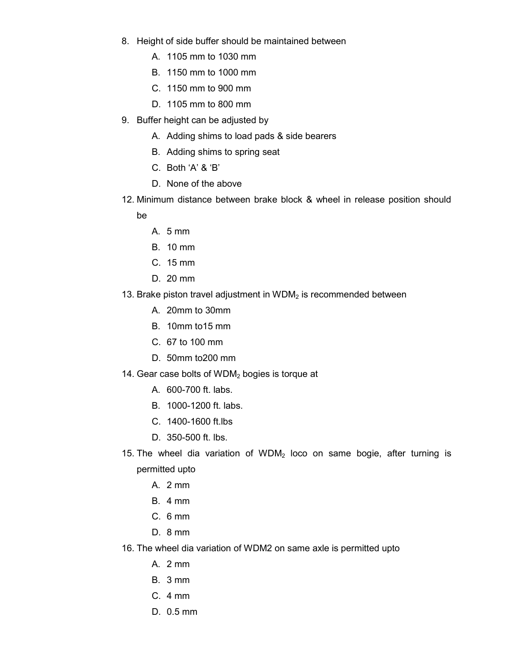- 8. Height of side buffer should be maintained between
	- A. 1105 mm to 1030 mm
	- B. 1150 mm to 1000 mm
	- C. 1150 mm to 900 mm
	- D. 1105 mm to 800 mm
- 9. Buffer height can be adjusted by
	- A. Adding shims to load pads & side bearers
	- B. Adding shims to spring seat
	- C. Both 'A' & 'B'
	- D. None of the above
- 12. Minimum distance between brake block & wheel in release position should be
	- A. 5 mm
	- B. 10 mm
	- C. 15 mm
	- D. 20 mm
- 13. Brake piston travel adjustment in  $WDM<sub>2</sub>$  is recommended between
	- A. 20mm to 30mm
	- B. 10mm to15 mm
	- C. 67 to 100 mm
	- D. 50mm to200 mm
- 14. Gear case bolts of  $WDM<sub>2</sub>$  bogies is torque at
	- A. 600-700 ft. labs.
	- B. 1000-1200 ft. labs.
	- C. 1400-1600 ft.lbs
	- D. 350-500 ft. lbs.
- 15. The wheel dia variation of WDM<sub>2</sub> loco on same bogie, after turning is permitted upto
	- A. 2 mm
	- B. 4 mm
	- C. 6 mm
	- D. 8 mm
- 16. The wheel dia variation of WDM2 on same axle is permitted upto
	- A. 2 mm
	- B. 3 mm
	- C. 4 mm
	- D. 0.5 mm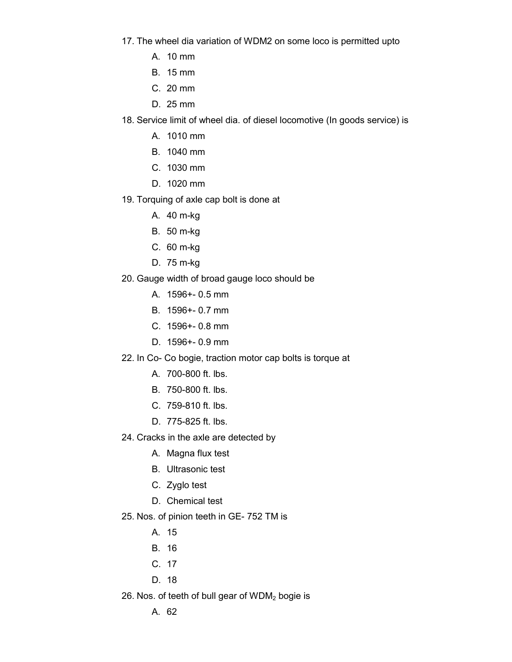- 17. The wheel dia variation of WDM2 on some loco is permitted upto
	- A. 10 mm
	- B. 15 mm
	- C. 20 mm
	- D. 25 mm
- 18. Service limit of wheel dia. of diesel locomotive (In goods service) is
	- A. 1010 mm
	- B. 1040 mm
	- C. 1030 mm
	- D. 1020 mm
- 19. Torquing of axle cap bolt is done at
	- A. 40 m-kg
	- B. 50 m-kg
	- C. 60 m-kg
	- D. 75 m-kg
- 20. Gauge width of broad gauge loco should be
	- A. 1596+- 0.5 mm
	- B. 1596+- 0.7 mm
	- C. 1596+- 0.8 mm
	- D. 1596+- 0.9 mm
- 22. In Co- Co bogie, traction motor cap bolts is torque at
	- A. 700-800 ft. lbs.
	- B. 750-800 ft. lbs.
	- C. 759-810 ft. lbs.
	- D. 775-825 ft. lbs.
- 24. Cracks in the axle are detected by
	- A. Magna flux test
	- B. Ultrasonic test
	- C. Zyglo test
	- D. Chemical test
- 25. Nos. of pinion teeth in GE- 752 TM is
	- A. 15
	- B. 16
	- C. 17
	- D. 18
- 26. Nos. of teeth of bull gear of  $WDM<sub>2</sub>$  bogie is
	- A. 62